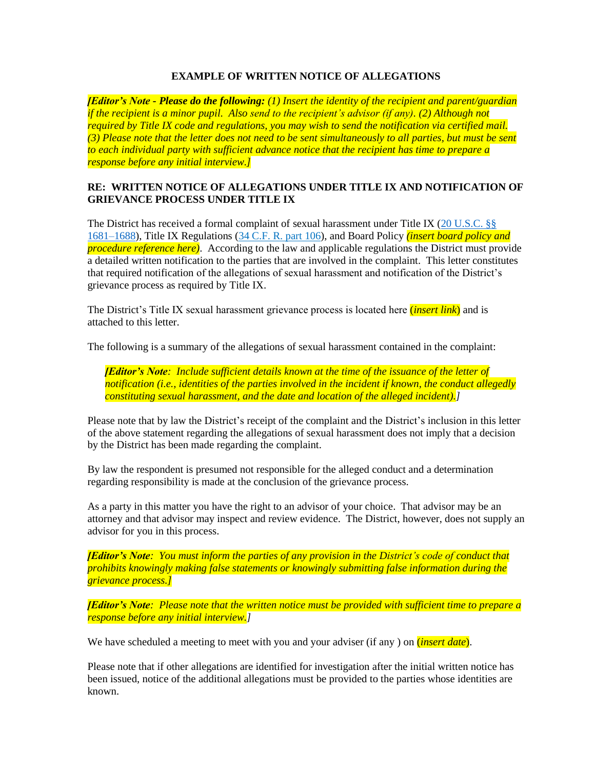## **EXAMPLE OF WRITTEN NOTICE OF ALLEGATIONS**

*[Editor's Note - Please do the following: (1) Insert the identity of the recipient and parent/guardian if the recipient is a minor pupil. Also send to the recipient's advisor (if any). (2) Although not required by Title IX code and regulations, you may wish to send the notification via certified mail. (3) Please note that the letter does not need to be sent simultaneously to all parties, but must be sent to each individual party with sufficient advance notice that the recipient has time to prepare a response before any initial interview.]*

## **RE: WRITTEN NOTICE OF ALLEGATIONS UNDER TITLE IX AND NOTIFICATION OF GRIEVANCE PROCESS UNDER TITLE IX**

The District has received a formal complaint of sexual harassment under Title IX (20 U.S.C. §§ [1681–1688\)](https://www.law.cornell.edu/uscode/text/20/1681), Title IX Regulations [\(34 C.F. R. part 106\)](https://www.ecfr.gov/cgi-bin/text-idx?SID=fc07436402329bf6ae010e4d8de896b8&mc=true&node=pt34.1.106&rgn=div5), and Board Policy *(insert board policy and procedure reference here)*. According to the law and applicable regulations the District must provide a detailed written notification to the parties that are involved in the complaint. This letter constitutes that required notification of the allegations of sexual harassment and notification of the District's grievance process as required by Title IX.

The District's Title IX sexual harassment grievance process is located here (*insert link*) and is attached to this letter.

The following is a summary of the allegations of sexual harassment contained in the complaint:

*[Editor's Note: Include sufficient details known at the time of the issuance of the letter of notification (i.e., identities of the parties involved in the incident if known, the conduct allegedly constituting sexual harassment, and the date and location of the alleged incident).]*

Please note that by law the District's receipt of the complaint and the District's inclusion in this letter of the above statement regarding the allegations of sexual harassment does not imply that a decision by the District has been made regarding the complaint.

By law the respondent is presumed not responsible for the alleged conduct and a determination regarding responsibility is made at the conclusion of the grievance process.

As a party in this matter you have the right to an advisor of your choice. That advisor may be an attorney and that advisor may inspect and review evidence. The District, however, does not supply an advisor for you in this process.

*[Editor's Note: You must inform the parties of any provision in the District's code of conduct that prohibits knowingly making false statements or knowingly submitting false information during the grievance process.]*

*[Editor's Note: Please note that the written notice must be provided with sufficient time to prepare a response before any initial interview.]*

We have scheduled a meeting to meet with you and your adviser (if any ) on *(insert date)*.

Please note that if other allegations are identified for investigation after the initial written notice has been issued, notice of the additional allegations must be provided to the parties whose identities are known.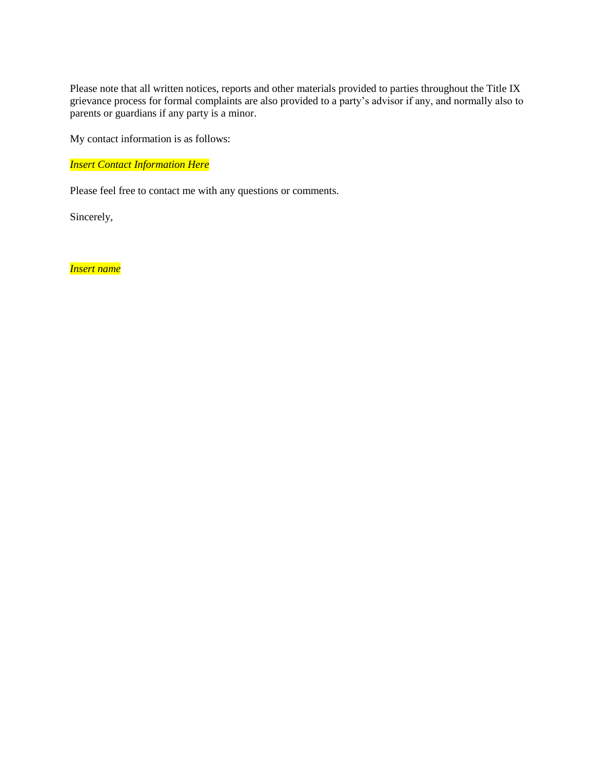Please note that all written notices, reports and other materials provided to parties throughout the Title IX grievance process for formal complaints are also provided to a party's advisor if any, and normally also to parents or guardians if any party is a minor.

My contact information is as follows:

*Insert Contact Information Here*

Please feel free to contact me with any questions or comments.

Sincerely,

*Insert name*